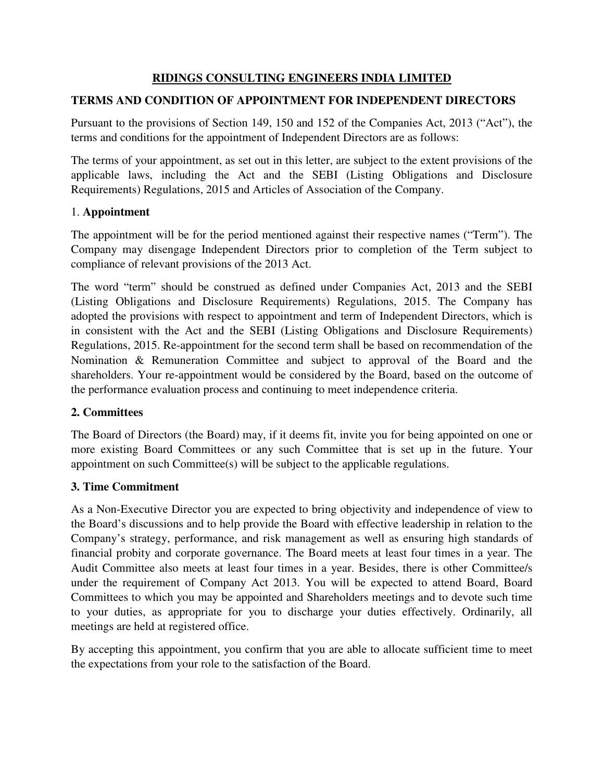### **RIDINGS CONSULTING ENGINEERS INDIA LIMITED**

## **TERMS AND CONDITION OF APPOINTMENT FOR INDEPENDENT DIRECTORS**

Pursuant to the provisions of Section 149, 150 and 152 of the Companies Act, 2013 ("Act"), the terms and conditions for the appointment of Independent Directors are as follows:

The terms of your appointment, as set out in this letter, are subject to the extent provisions of the applicable laws, including the Act and the SEBI (Listing Obligations and Disclosure Requirements) Regulations, 2015 and Articles of Association of the Company.

### 1. **Appointment**

The appointment will be for the period mentioned against their respective names ("Term"). The Company may disengage Independent Directors prior to completion of the Term subject to compliance of relevant provisions of the 2013 Act.

The word "term" should be construed as defined under Companies Act, 2013 and the SEBI (Listing Obligations and Disclosure Requirements) Regulations, 2015. The Company has adopted the provisions with respect to appointment and term of Independent Directors, which is in consistent with the Act and the SEBI (Listing Obligations and Disclosure Requirements) Regulations, 2015. Re-appointment for the second term shall be based on recommendation of the Nomination & Remuneration Committee and subject to approval of the Board and the shareholders. Your re-appointment would be considered by the Board, based on the outcome of the performance evaluation process and continuing to meet independence criteria.

# **2. Committees**

The Board of Directors (the Board) may, if it deems fit, invite you for being appointed on one or more existing Board Committees or any such Committee that is set up in the future. Your appointment on such Committee(s) will be subject to the applicable regulations.

### **3. Time Commitment**

As a Non-Executive Director you are expected to bring objectivity and independence of view to the Board's discussions and to help provide the Board with effective leadership in relation to the Company's strategy, performance, and risk management as well as ensuring high standards of financial probity and corporate governance. The Board meets at least four times in a year. The Audit Committee also meets at least four times in a year. Besides, there is other Committee/s under the requirement of Company Act 2013. You will be expected to attend Board, Board Committees to which you may be appointed and Shareholders meetings and to devote such time to your duties, as appropriate for you to discharge your duties effectively. Ordinarily, all meetings are held at registered office.

By accepting this appointment, you confirm that you are able to allocate sufficient time to meet the expectations from your role to the satisfaction of the Board.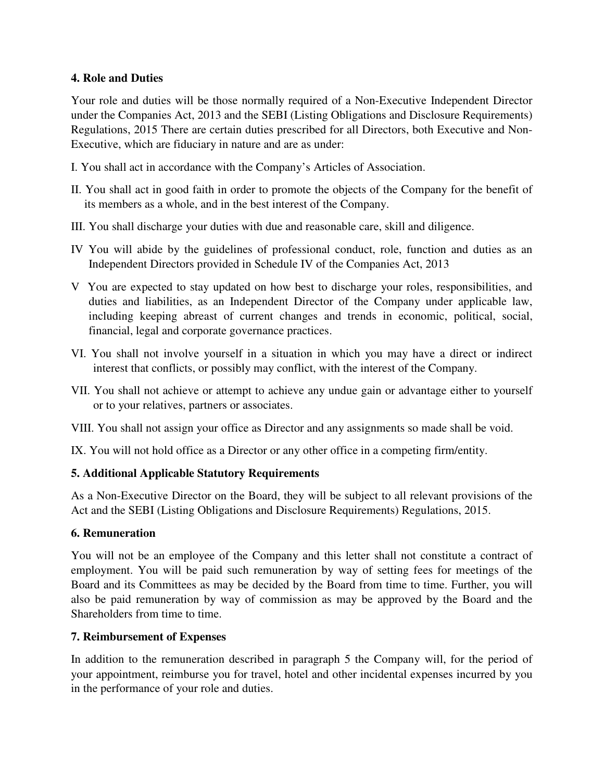### **4. Role and Duties**

Your role and duties will be those normally required of a Non-Executive Independent Director under the Companies Act, 2013 and the SEBI (Listing Obligations and Disclosure Requirements) Regulations, 2015 There are certain duties prescribed for all Directors, both Executive and Non-Executive, which are fiduciary in nature and are as under:

I. You shall act in accordance with the Company's Articles of Association.

- II. You shall act in good faith in order to promote the objects of the Company for the benefit of its members as a whole, and in the best interest of the Company.
- III. You shall discharge your duties with due and reasonable care, skill and diligence.
- IV You will abide by the guidelines of professional conduct, role, function and duties as an Independent Directors provided in Schedule IV of the Companies Act, 2013
- V You are expected to stay updated on how best to discharge your roles, responsibilities, and duties and liabilities, as an Independent Director of the Company under applicable law, including keeping abreast of current changes and trends in economic, political, social, financial, legal and corporate governance practices.
- VI. You shall not involve yourself in a situation in which you may have a direct or indirect interest that conflicts, or possibly may conflict, with the interest of the Company.
- VII. You shall not achieve or attempt to achieve any undue gain or advantage either to yourself or to your relatives, partners or associates.

VIII. You shall not assign your office as Director and any assignments so made shall be void.

IX. You will not hold office as a Director or any other office in a competing firm/entity.

### **5. Additional Applicable Statutory Requirements**

As a Non-Executive Director on the Board, they will be subject to all relevant provisions of the Act and the SEBI (Listing Obligations and Disclosure Requirements) Regulations, 2015.

#### **6. Remuneration**

You will not be an employee of the Company and this letter shall not constitute a contract of employment. You will be paid such remuneration by way of setting fees for meetings of the Board and its Committees as may be decided by the Board from time to time. Further, you will also be paid remuneration by way of commission as may be approved by the Board and the Shareholders from time to time.

### **7. Reimbursement of Expenses**

In addition to the remuneration described in paragraph 5 the Company will, for the period of your appointment, reimburse you for travel, hotel and other incidental expenses incurred by you in the performance of your role and duties.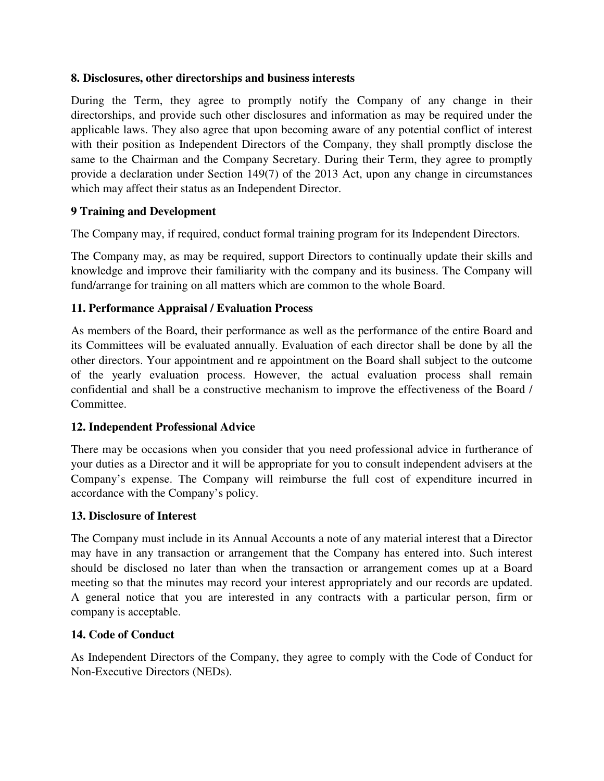#### **8. Disclosures, other directorships and business interests**

During the Term, they agree to promptly notify the Company of any change in their directorships, and provide such other disclosures and information as may be required under the applicable laws. They also agree that upon becoming aware of any potential conflict of interest with their position as Independent Directors of the Company, they shall promptly disclose the same to the Chairman and the Company Secretary. During their Term, they agree to promptly provide a declaration under Section 149(7) of the 2013 Act, upon any change in circumstances which may affect their status as an Independent Director.

### **9 Training and Development**

The Company may, if required, conduct formal training program for its Independent Directors.

The Company may, as may be required, support Directors to continually update their skills and knowledge and improve their familiarity with the company and its business. The Company will fund/arrange for training on all matters which are common to the whole Board.

### **11. Performance Appraisal / Evaluation Process**

As members of the Board, their performance as well as the performance of the entire Board and its Committees will be evaluated annually. Evaluation of each director shall be done by all the other directors. Your appointment and re appointment on the Board shall subject to the outcome of the yearly evaluation process. However, the actual evaluation process shall remain confidential and shall be a constructive mechanism to improve the effectiveness of the Board / Committee.

### **12. Independent Professional Advice**

There may be occasions when you consider that you need professional advice in furtherance of your duties as a Director and it will be appropriate for you to consult independent advisers at the Company's expense. The Company will reimburse the full cost of expenditure incurred in accordance with the Company's policy.

### **13. Disclosure of Interest**

The Company must include in its Annual Accounts a note of any material interest that a Director may have in any transaction or arrangement that the Company has entered into. Such interest should be disclosed no later than when the transaction or arrangement comes up at a Board meeting so that the minutes may record your interest appropriately and our records are updated. A general notice that you are interested in any contracts with a particular person, firm or company is acceptable.

### **14. Code of Conduct**

As Independent Directors of the Company, they agree to comply with the Code of Conduct for Non-Executive Directors (NEDs).